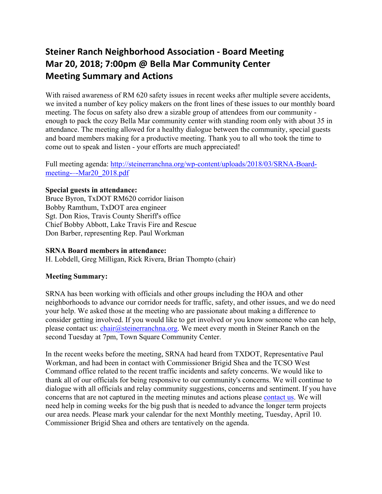# **Steiner Ranch Neighborhood Association - Board Meeting Mar 20, 2018; 7:00pm @ Bella Mar Community Center Meeting Summary and Actions**

With raised awareness of RM 620 safety issues in recent weeks after multiple severe accidents, we invited a number of key policy makers on the front lines of these issues to our monthly board meeting. The focus on safety also drew a sizable group of attendees from our community enough to pack the cozy Bella Mar community center with standing room only with about 35 in attendance. The meeting allowed for a healthy dialogue between the community, special guests and board members making for a productive meeting. Thank you to all who took the time to come out to speak and listen - your efforts are much appreciated!

Full meeting agenda: http://steinerranchna.org/wp-content/uploads/2018/03/SRNA-Boardmeeting-–-Mar20\_2018.pdf

#### **Special guests in attendance:**

Bruce Byron, TxDOT RM620 corridor liaison Bobby Ramthum, TxDOT area engineer Sgt. Don Rios, Travis County Sheriff's office Chief Bobby Abbott, Lake Travis Fire and Rescue Don Barber, representing Rep. Paul Workman

#### **SRNA Board members in attendance:**

H. Lobdell, Greg Milligan, Rick Rivera, Brian Thompto (chair)

### **Meeting Summary:**

SRNA has been working with officials and other groups including the HOA and other neighborhoods to advance our corridor needs for traffic, safety, and other issues, and we do need your help. We asked those at the meeting who are passionate about making a difference to consider getting involved. If you would like to get involved or you know someone who can help, please contact us: chair@steinerranchna.org. We meet every month in Steiner Ranch on the second Tuesday at 7pm, Town Square Community Center.

In the recent weeks before the meeting, SRNA had heard from TXDOT, Representative Paul Workman, and had been in contact with Commissioner Brigid Shea and the TCSO West Command office related to the recent traffic incidents and safety concerns. We would like to thank all of our officials for being responsive to our community's concerns. We will continue to dialogue with all officials and relay community suggestions, concerns and sentiment. If you have concerns that are not captured in the meeting minutes and actions please contact us. We will need help in coming weeks for the big push that is needed to advance the longer term projects our area needs. Please mark your calendar for the next Monthly meeting, Tuesday, April 10. Commissioner Brigid Shea and others are tentatively on the agenda.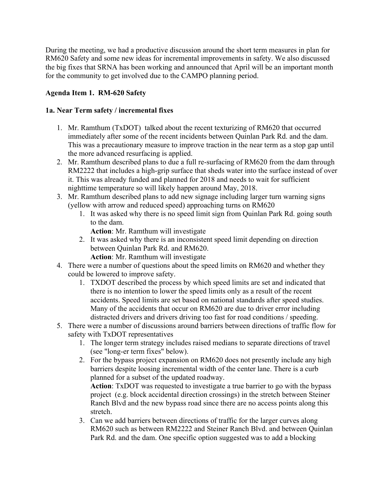During the meeting, we had a productive discussion around the short term measures in plan for RM620 Safety and some new ideas for incremental improvements in safety. We also discussed the big fixes that SRNA has been working and announced that April will be an important month for the community to get involved due to the CAMPO planning period.

## **Agenda Item 1. RM-620 Safety**

#### **1a. Near Term safety / incremental fixes**

- 1. Mr. Ramthum (TxDOT) talked about the recent texturizing of RM620 that occurred immediately after some of the recent incidents between Quinlan Park Rd. and the dam. This was a precautionary measure to improve traction in the near term as a stop gap until the more advanced resurfacing is applied.
- 2. Mr. Ramthum described plans to due a full re-surfacing of RM620 from the dam through RM2222 that includes a high-grip surface that sheds water into the surface instead of over it. This was already funded and planned for 2018 and needs to wait for sufficient nighttime temperature so will likely happen around May, 2018.
- 3. Mr. Ramthum described plans to add new signage including larger turn warning signs (yellow with arrow and reduced speed) approaching turns on RM620
	- 1. It was asked why there is no speed limit sign from Quinlan Park Rd. going south to the dam.

**Action**: Mr. Ramthum will investigate

- 2. It was asked why there is an inconsistent speed limit depending on direction between Quinlan Park Rd. and RM620.
	- **Action**: Mr. Ramthum will investigate
- 4. There were a number of questions about the speed limits on RM620 and whether they could be lowered to improve safety.
	- 1. TXDOT described the process by which speed limits are set and indicated that there is no intention to lower the speed limits only as a result of the recent accidents. Speed limits are set based on national standards after speed studies. Many of the accidents that occur on RM620 are due to driver error including distracted drivers and drivers driving too fast for road conditions / speeding.
- 5. There were a number of discussions around barriers between directions of traffic flow for safety with TxDOT representatives
	- 1. The longer term strategy includes raised medians to separate directions of travel (see "long-er term fixes" below).
	- 2. For the bypass project expansion on RM620 does not presently include any high barriers despite loosing incremental width of the center lane. There is a curb planned for a subset of the updated roadway.

**Action**: TxDOT was requested to investigate a true barrier to go with the bypass project (e.g. block accidental direction crossings) in the stretch between Steiner Ranch Blvd and the new bypass road since there are no access points along this stretch.

3. Can we add barriers between directions of traffic for the larger curves along RM620 such as between RM2222 and Steiner Ranch Blvd. and between Quinlan Park Rd. and the dam. One specific option suggested was to add a blocking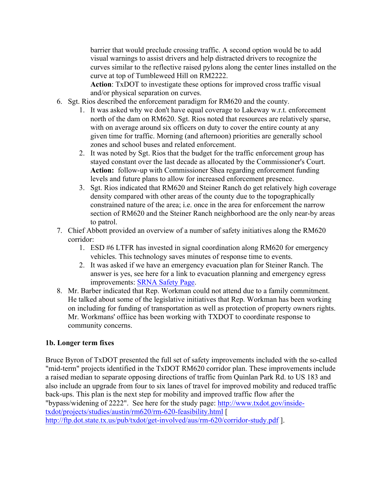barrier that would preclude crossing traffic. A second option would be to add visual warnings to assist drivers and help distracted drivers to recognize the curves similar to the reflective raised pylons along the center lines installed on the curve at top of Tumbleweed Hill on RM2222.

**Action**: TxDOT to investigate these options for improved cross traffic visual and/or physical separation on curves.

- 6. Sgt. Rios described the enforcement paradigm for RM620 and the county.
	- 1. It was asked why we don't have equal coverage to Lakeway w.r.t. enforcement north of the dam on RM620. Sgt. Rios noted that resources are relatively sparse, with on average around six officers on duty to cover the entire county at any given time for traffic. Morning (and afternoon) priorities are generally school zones and school buses and related enforcement.
	- 2. It was noted by Sgt. Rios that the budget for the traffic enforcement group has stayed constant over the last decade as allocated by the Commissioner's Court. **Action:** follow-up with Commissioner Shea regarding enforcement funding levels and future plans to allow for increased enforcement presence.
	- 3. Sgt. Rios indicated that RM620 and Steiner Ranch do get relatively high coverage density compared with other areas of the county due to the topographically constrained nature of the area; i.e. once in the area for enforcement the narrow section of RM620 and the Steiner Ranch neighborhood are the only near-by areas to patrol.
- 7. Chief Abbott provided an overview of a number of safety initiatives along the RM620 corridor:
	- 1. ESD #6 LTFR has invested in signal coordination along RM620 for emergency vehicles. This technology saves minutes of response time to events.
	- 2. It was asked if we have an emergency evacuation plan for Steiner Ranch. The answer is yes, see here for a link to evacuation planning and emergency egress improvements: SRNA Safety Page.
- 8. Mr. Barber indicated that Rep. Workman could not attend due to a family commitment. He talked about some of the legislative initiatives that Rep. Workman has been working on including for funding of transportation as well as protection of property owners rights. Mr. Workmans' offiice has been working with TXDOT to coordinate response to community concerns.

# **1b. Longer term fixes**

Bruce Byron of TxDOT presented the full set of safety improvements included with the so-called "mid-term" projects identified in the TxDOT RM620 corridor plan. These improvements include a raised median to separate opposing directions of traffic from Quinlan Park Rd. to US 183 and also include an upgrade from four to six lanes of travel for improved mobility and reduced traffic back-ups. This plan is the next step for mobility and improved traffic flow after the "bypass/widening of 2222". See here for the study page: http://www.txdot.gov/insidetxdot/projects/studies/austin/rm620/rm-620-feasibility.html [ http://ftp.dot.state.tx.us/pub/txdot/get-involved/aus/rm-620/corridor-study.pdf ].